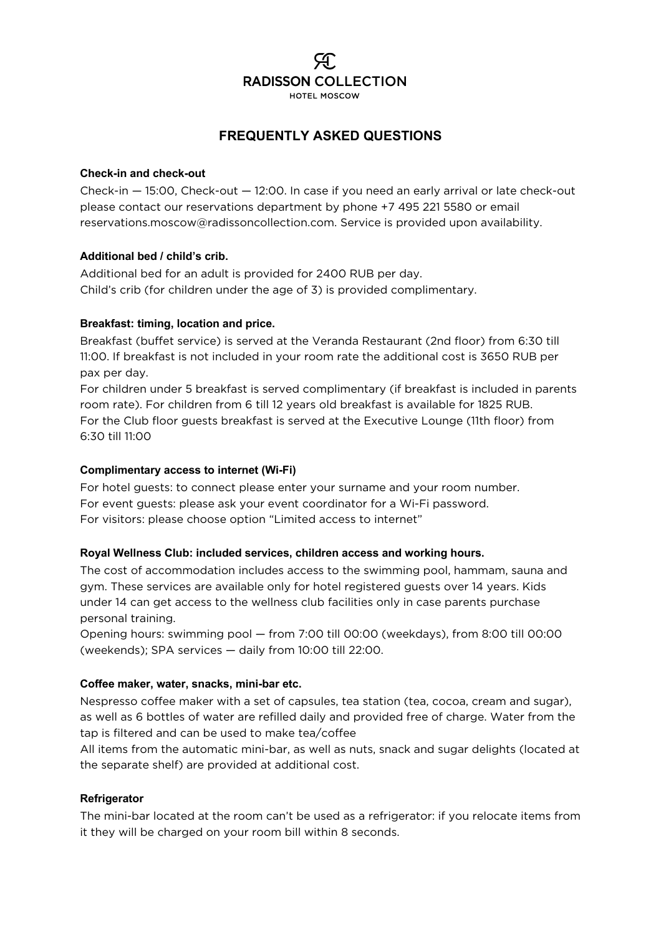

### **FREQUENTLY ASKED QUESTIONS**

#### **Check-in and check-out**

Check-in — 15:00, Check-out — 12:00. In case if you need an early arrival or late check-out please contact our reservations department by phone +7 495 221 5580 or email reservations.moscow@radissoncollection.com. Service is provided upon availability.

#### **Additional bed / child's crib.**

Additional bed for an adult is provided for 2400 RUB per day. Child's crib (for children under the age of 3) is provided complimentary.

#### **Breakfast: timing, location and price.**

Breakfast (buffet service) is served at the Veranda Restaurant (2nd floor) from 6:30 till 11:00. If breakfast is not included in your room rate the additional cost is 3650 RUB per pax per day.

For children under 5 breakfast is served complimentary (if breakfast is included in parents room rate). For children from 6 till 12 years old breakfast is available for 1825 RUB. For the Club floor guests breakfast is served at the Executive Lounge (11th floor) from 6:30 till 11:00

#### **Complimentary access to internet (Wi-Fi)**

For hotel guests: to connect please enter your surname and your room number. For event guests: please ask your event coordinator for a Wi-Fi password. For visitors: please choose option "Limited access to internet"

#### **Royal Wellness Club: included services, children access and working hours.**

The cost of accommodation includes access to the swimming pool, hammam, sauna and gym. These services are available only for hotel registered guests over 14 years. Kids under 14 can get access to the wellness club facilities only in case parents purchase personal training.

Opening hours: swimming pool — from 7:00 till 00:00 (weekdays), from 8:00 till 00:00 (weekends); SPA services — daily from 10:00 till 22:00.

#### **Coffee maker, water, snacks, mini-bar etc.**

Nespresso coffee maker with a set of capsules, tea station (tea, cocoa, cream and sugar), as well as 6 bottles of water are refilled daily and provided free of charge. Water from the tap is filtered and can be used to make tea/coffee

All items from the automatic mini-bar, as well as nuts, snack and sugar delights (located at the separate shelf) are provided at additional cost.

#### **Refrigerator**

The mini-bar located at the room can't be used as a refrigerator: if you relocate items from it they will be charged on your room bill within 8 seconds.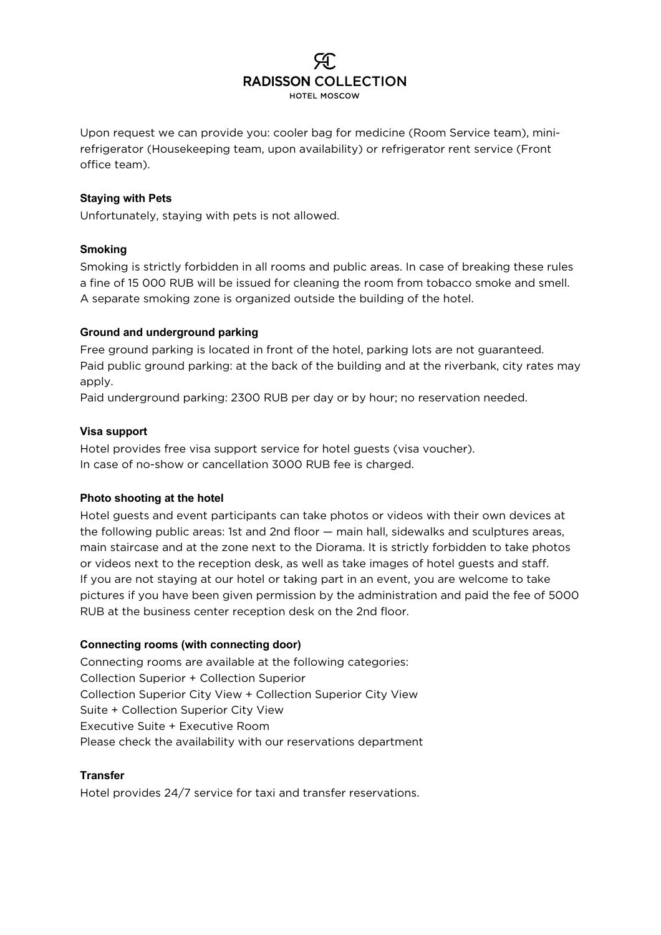## **RADISSON COLLECTION** HOTEL MOSCOW

Upon request we can provide you: cooler bag for medicine (Room Service team), minirefrigerator (Housekeeping team, upon availability) or refrigerator rent service (Front office team).

#### **Staying with Pets**

Unfortunately, staying with pets is not allowed.

#### **Smoking**

Smoking is strictly forbidden in all rooms and public areas. In case of breaking these rules a fine of 15 000 RUB will be issued for cleaning the room from tobacco smoke and smell. A separate smoking zone is organized outside the building of the hotel.

#### **Ground and underground parking**

Free ground parking is located in front of the hotel, parking lots are not guaranteed. Paid public ground parking: at the back of the building and at the riverbank, city rates may apply.

Paid underground parking: 2300 RUB per day or by hour; no reservation needed.

#### **Visa support**

Hotel provides free visa support service for hotel guests (visa voucher). In case of no-show or cancellation 3000 RUB fee is charged.

#### **Photo shooting at the hotel**

Hotel guests and event participants can take photos or videos with their own devices at the following public areas: 1st and 2nd floor — main hall, sidewalks and sculptures areas, main staircase and at the zone next to the Diorama. It is strictly forbidden to take photos or videos next to the reception desk, as well as take images of hotel guests and staff. If you are not staying at our hotel or taking part in an event, you are welcome to take pictures if you have been given permission by the administration and paid the fee of 5000 RUB at the business center reception desk on the 2nd floor.

#### **Connecting rooms (with connecting door)**

Connecting rooms are available at the following categories: Collection Superior + Collection Superior Collection Superior City View + Collection Superior City View Suite + Collection Superior City View Executive Suite + Executive Room Please check the availability with our reservations department

#### **Transfer**

Hotel provides 24/7 service for taxi and transfer reservations.